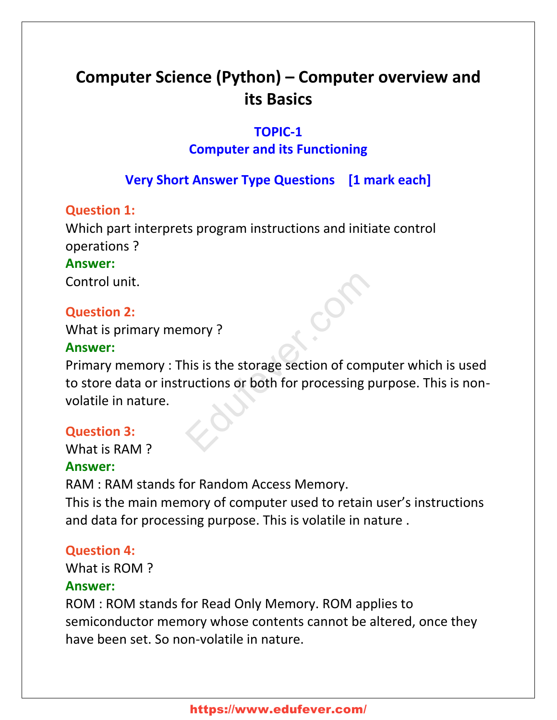# **Computer Science (Python) – Computer overview and its Basics**

# **TOPIC-1**

# **Computer and its Functioning**

# **Very Short Answer Type Questions [1 mark each]**

#### **Question 1:**

Which part interprets program instructions and initiate control operations ?

#### **Аnswer:**

Control unit.

#### **Question 2:**

What is primary memory ?

#### **Аnswer:**

Primary memory : This is the storage section of computer which is used to store data or instructions or both for processing purpose. This is nonvolatile in nature. mory ?<br>his is the storage section of computurions or both for processing pu

#### **Question 3:**

What is RAM ?

#### **Аnswer:**

RAM : RAM stands for Random Access Memory.

This is the main memory of computer used to retain user's instructions and data for processing purpose. This is volatile in nature .

#### **Question 4:**

What is ROM ?

#### **Аnswer:**

ROM : ROM stands for Read Only Memory. ROM applies to semiconductor memory whose contents cannot be altered, once they have been set. So non-volatile in nature.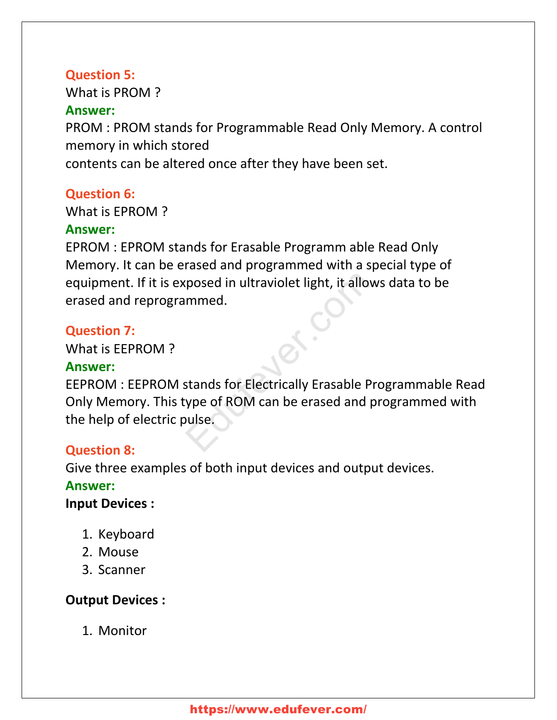#### **Question 5:**

What is PROM ?

#### **Аnswer:**

PROM : PROM stands for Programmable Read Only Memory. A control memory in which stored

contents can be altered once after they have been set.

#### **Question 6:**

What is EPROM ?

#### **Аnswer:**

EPROM : EPROM stands for Erasable Programm able Read Only Memory. It can be erased and programmed with a special type of equipment. If it is exposed in ultraviolet light, it allows data to be erased and reprogrammed.

# **Question 7:**

What is EEPROM ?

# **Аnswer:**

EEPROM : EEPROM stands for Electrically Erasable Programmable Read Only Memory. This type of ROM can be erased and programmed with the help of electric pulse. posed in ultraviolet light, it allows<br>mmed.<br>Stands for Electrically Erasable Pro<br>prime of ROM can be erased and proulse.

# **Question 8:**

Give three examples of both input devices and output devices.

# **Аnswer:**

**Input Devices :**

- 1. Keyboard
- 2. Mouse
- 3. Scanner

# **Output Devices :**

1. Monitor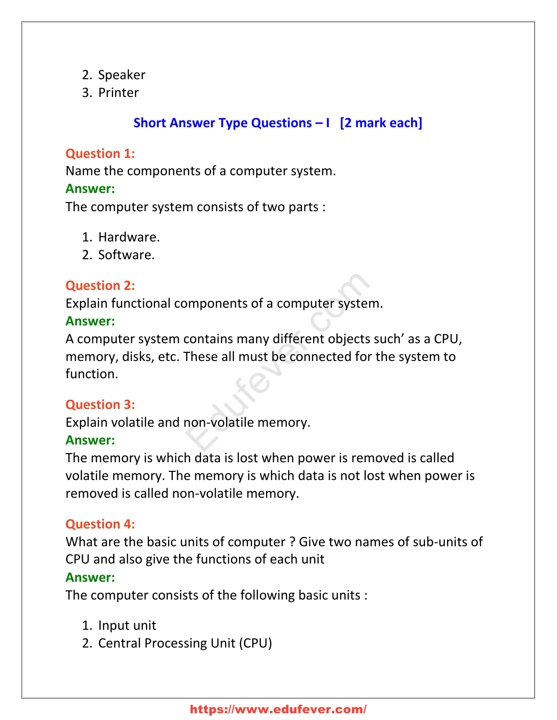- 2. Speaker
- 3. Printer

# **Short Answer Type Questions – I [2 mark each]**

# **Question 1:**

Name the components of a computer system.

#### **Аnswer:**

The computer system consists of two parts :

- 1. Hardware.
- 2. Software.

# **Question 2:**

Explain functional components of a computer system.

# **Аnswer:**

A computer system contains many different objects such' as a CPU, memory, disks, etc. These all must be connected for the system to function. Edufever.com

# **Question 3:**

Explain volatile and non-volatile memory.

# **Аnswer:**

The memory is which data is lost when power is removed is called volatile memory. The memory is which data is not lost when power is removed is called non-volatile memory.

# **Question 4:**

What are the basic units of computer ? Give two names of sub-units of CPU and also give the functions of each unit **Аnswer:**

The computer consists of the following basic units :

- 1. Input unit
- 2. Central Processing Unit (CPU)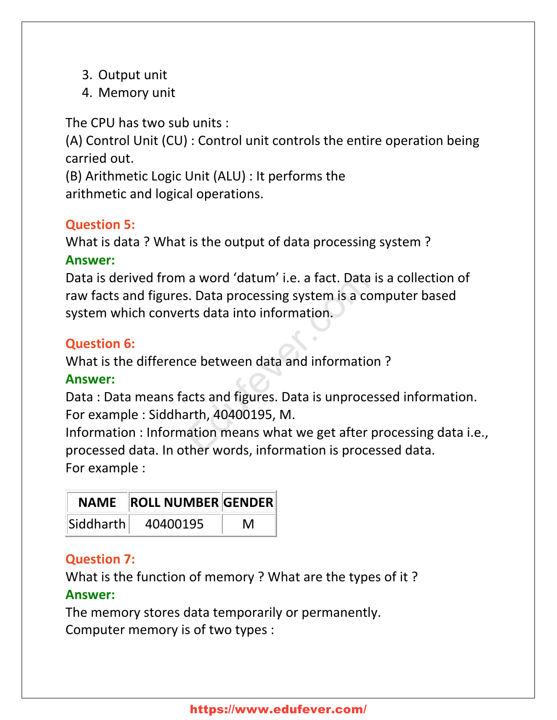- 3. Output unit
- 4. Memory unit

The CPU has two sub units :

(A) Control Unit (CU) : Control unit controls the entire operation being carried out.

(B) Arithmetic Logic Unit (ALU) : It performs the arithmetic and logical operations.

# **Question 5:**

What is data ? What is the output of data processing system ? **Аnswer:**

Data is derived from a word 'datum' i.e. a fact. Data is a collection of raw facts and figures. Data processing system is a computer based system which converts data into information. a word 'datum' i.e. a fact. Data is<br>
S. Data processing system is a com<br>
rts data into information.<br>
ce between data and information<br>
acts and figures. Data is unprocess<br>
arth, 40400195, M.<br>
ation means what we get after p

# **Question 6:**

What is the difference between data and information ?

# **Аnswer:**

Data : Data means facts and figures. Data is unprocessed information. For example : Siddharth, 40400195, M.

Information : Information means what we get after processing data i.e., processed data. In other words, information is processed data. For example :

|           | NAME   ROLL NUMBER  GENDER |   |
|-----------|----------------------------|---|
| Siddharth | 40400195                   | M |

# **Question 7:**

What is the function of memory ? What are the types of it ?

# **Аnswer:**

The memory stores data temporarily or permanently. Computer memory is of two types :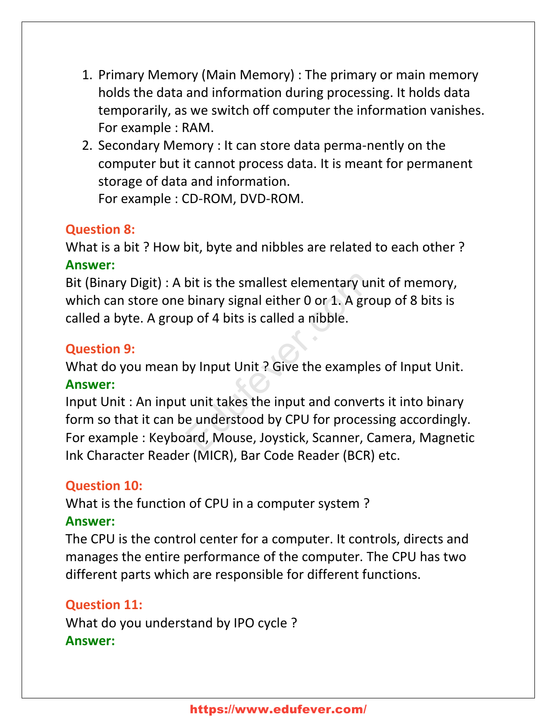- 1. Primary Memory (Main Memory) : The primary or main memory holds the data and information during processing. It holds data temporarily, as we switch off computer the information vanishes. For example : RAM.
- 2. Secondary Memory : It can store data perma-nently on the computer but it cannot process data. It is meant for permanent storage of data and information. For example : CD-ROM, DVD-ROM.

# **Question 8:**

What is a bit ? How bit, byte and nibbles are related to each other ? **Аnswer:**

Bit (Binary Digit) : A bit is the smallest elementary unit of memory, which can store one binary signal either 0 or 1. A group of 8 bits is called a byte. A group of 4 bits is called a nibble.

#### **Question 9:**

What do you mean by Input Unit ? Give the examples of Input Unit. **Аnswer:**

Input Unit : An input unit takes the input and converts it into binary form so that it can be understood by CPU for processing accordingly. For example : Keyboard, Mouse, Joystick, Scanner, Camera, Magnetic Ink Character Reader (MICR), Bar Code Reader (BCR) etc. bit is the smallest elementary unit<br>binary signal either 0 or 1. A grou<br>p of 4 bits is called a nibble.<br>Solvet the examples<br>of the examples<br>tunit takes the input and converts<br>e understood by CPU for processi<br>ard, Mouse, Jo

#### **Question 10:**

What is the function of CPU in a computer system ?

#### **Аnswer:**

The CPU is the control center for a computer. It controls, directs and manages the entire performance of the computer. The CPU has two different parts which are responsible for different functions.

#### **Question 11:**

What do you understand by IPO cycle ? **Аnswer:**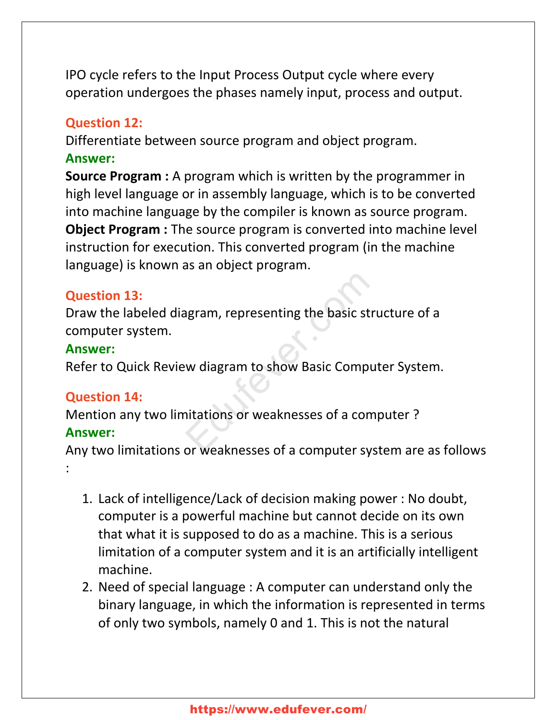IPO cycle refers to the Input Process Output cycle where every operation undergoes the phases namely input, process and output.

#### **Question 12:**

Differentiate between source program and object program. **Аnswer:**

**Source Program :** A program which is written by the programmer in high level language or in assembly language, which is to be converted into machine language by the compiler is known as source program. **Object Program :** The source program is converted into machine level instruction for execution. This converted program (in the machine language) is known as an object program.

# **Question 13:**

Draw the labeled diagram, representing the basic structure of a computer system. Example Transaction and the pasic strute<br>
Wediagram to show Basic Comput<br>
Mitations or weaknesses of a computer syst

#### **Аnswer:**

Refer to Quick Review diagram to show Basic Computer System.

# **Question 14:**

Mention any two limitations or weaknesses of a computer ?

# **Аnswer:**

:

Any two limitations or weaknesses of a computer system are as follows

- 1. Lack of intelligence/Lack of decision making power : No doubt, computer is a powerful machine but cannot decide on its own that what it is supposed to do as a machine. This is a serious limitation of a computer system and it is an artificially intelligent machine.
- 2. Need of special language : A computer can understand only the binary language, in which the information is represented in terms of only two symbols, namely 0 and 1. This is not the natural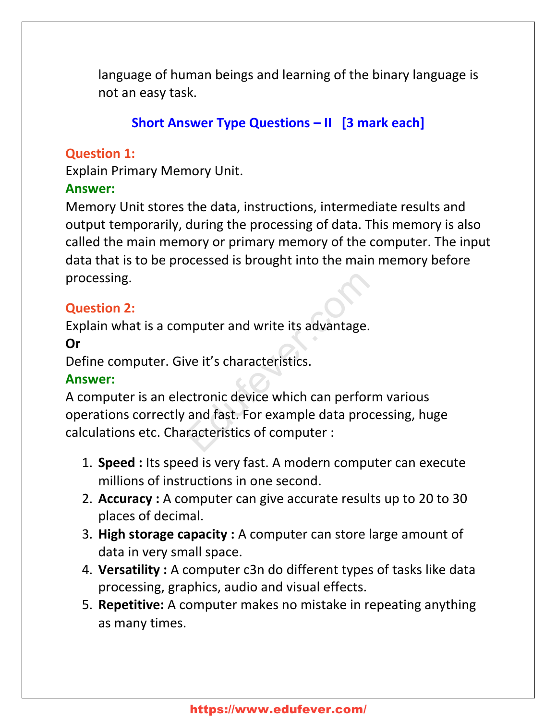language of human beings and learning of the binary language is not an easy task.

# **Short Answer Type Questions – II [3 mark each]**

#### **Question 1:**

Explain Primary Memory Unit.

# **Аnswer:**

Memory Unit stores the data, instructions, intermediate results and output temporarily, during the processing of data. This memory is also called the main memory or primary memory of the computer. The input data that is to be processed is brought into the main memory before processing.

# **Question 2:**

Explain what is a computer and write its advantage.

# **Or**

Define computer. Give it's characteristics.

# **Аnswer:**

A computer is an electronic device which can perform various operations correctly and fast. For example data processing, huge calculations etc. Characteristics of computer : mputer and write its advantage.<br>
ve it's characteristics.<br>
ectronic device which can perform<br>
and fast. For example data proce<br>
racteristics of computer :

- 1. **Speed :** Its speed is very fast. A modern computer can execute millions of instructions in one second.
- 2. **Accuracy :** A computer can give accurate results up to 20 to 30 places of decimal.
- 3. **High storage capacity :** A computer can store large amount of data in very small space.
- 4. **Versatility :** A computer c3n do different types of tasks like data processing, graphics, audio and visual effects.
- 5. **Repetitive:** A computer makes no mistake in repeating anything as many times.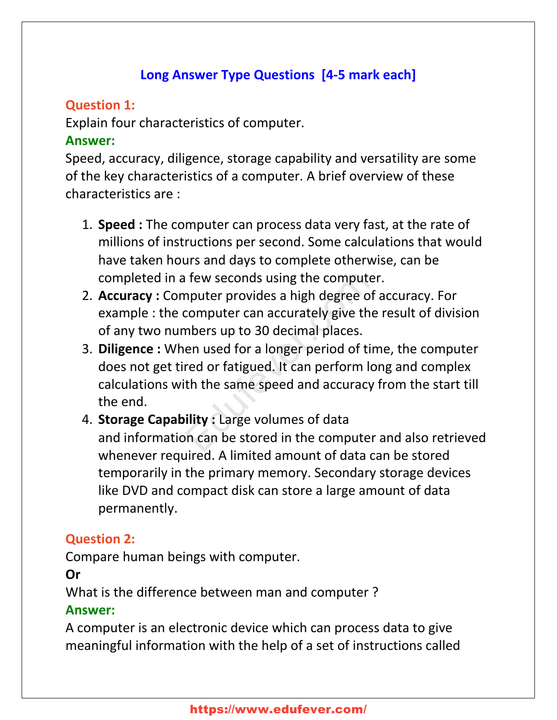# **Long Answer Type Questions [4-5 mark each]**

# **Question 1:**

Explain four characteristics of computer.

# **Аnswer:**

Speed, accuracy, diligence, storage capability and versatility are some of the key characteristics of a computer. A brief overview of these characteristics are :

- 1. **Speed :** The computer can process data very fast, at the rate of millions of instructions per second. Some calculations that would have taken hours and days to complete otherwise, can be completed in a few seconds using the computer.
- 2. **Accuracy :** Computer provides a high degree of accuracy. For example : the computer can accurately give the result of division of any two numbers up to 30 decimal places.
- 3. **Diligence :** When used for a longer period of time, the computer does not get tired or fatigued. It can perform long and complex calculations with the same speed and accuracy from the start till the end. If few seconds using the computer<br>
nputer provides a high degree of a<br>
computer can accurately give the<br>
mbers up to 30 decimal places.<br>
en used for a longer period of tim<br>
red or fatigued. It can perform lor<br>
th the same
- 4. **Storage Capability :** Large volumes of data and information can be stored in the computer and also retrieved whenever required. A limited amount of data can be stored temporarily in the primary memory. Secondary storage devices like DVD and compact disk can store a large amount of data permanently.

# **Question 2:**

Compare human beings with computer.

# **Or**

What is the difference between man and computer ?

# **Аnswer:**

A computer is an electronic device which can process data to give meaningful information with the help of a set of instructions called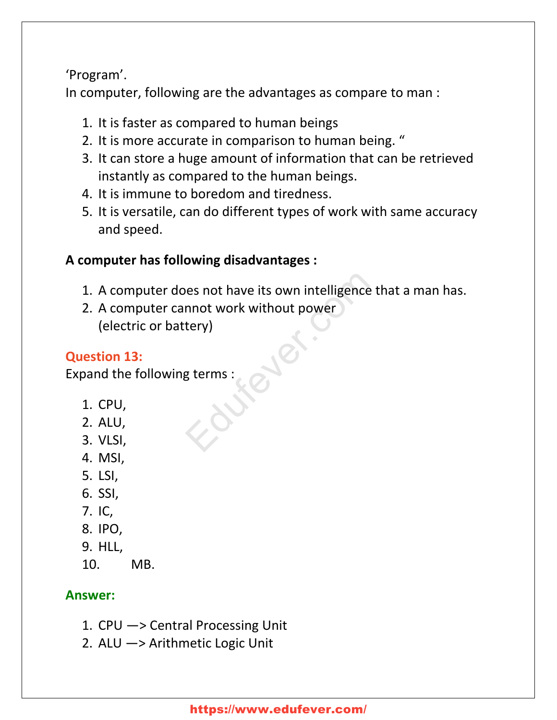'Program'.

In computer, following are the advantages as compare to man :

- 1. It is faster as compared to human beings
- 2. It is more accurate in comparison to human being. "
- 3. It can store a huge amount of information that can be retrieved instantly as compared to the human beings.
- 4. It is immune to boredom and tiredness.
- 5. It is versatile, can do different types of work with same accuracy and speed.

# **A computer has following disadvantages :**

- 1. A computer does not have its own intelligence that a man has.
- 2. A computer cannot work without power (electric or battery) Nes not have its own intelligence the<br>mnot work without power<br>tery)<br>g terms :

# **Question 13:**

Expand the following terms :

- 1. CPU,
- 2. ALU,
- 3. VLSI,
- 4. MSI,
- 5. LSI,
- 6. SSI,
- 7. IC,
- 8. IPO,
- 9. HLL,
- 10. MB.

# **Аnswer:**

- 1. CPU —> Central Processing Unit
- 2. ALU —> Arithmetic Logic Unit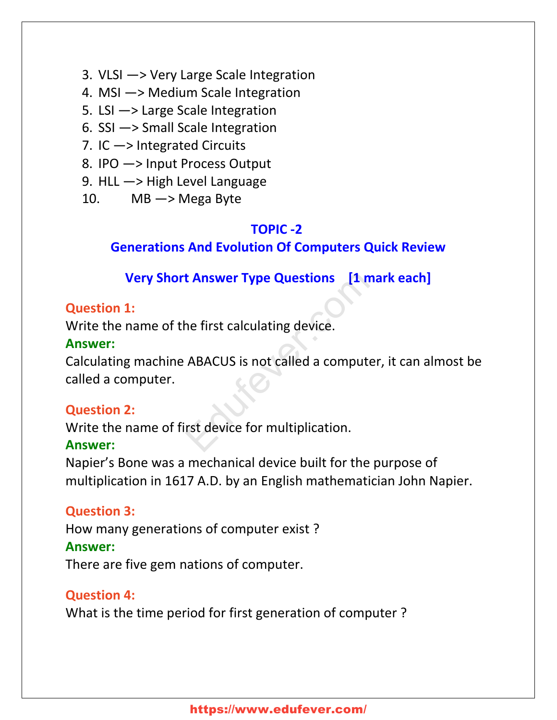- 3. VLSI —> Very Large Scale Integration
- 4. MSI —> Medium Scale Integration
- 5. LSI —> Large Scale Integration
- 6. SSI —> Small Scale Integration
- 7. IC —> Integrated Circuits
- 8. IPO —> Input Process Output
- 9. HLL —> High Level Language
- 10. MB  $\rightarrow$  Mega Byte

#### **TOPIC -2**

#### **Generations And Evolution Of Computers Quick Review**

# **Very Short Answer Type Questions [1 mark each]**

#### **Question 1:**

Write the name of the first calculating device.

#### **Аnswer:**

Calculating machine ABACUS is not called a computer, it can almost be called a computer. **Example 2018 12 Set Share Type Questions** [1 made first calculating device.]<br>ABACUS is not called a computer,<br>rst device for multiplication.

#### **Question 2:**

Write the name of first device for multiplication.

#### **Аnswer:**

Napier's Bone was a mechanical device built for the purpose of multiplication in 1617 A.D. by an English mathematician John Napier.

#### **Question 3:**

How many generations of computer exist ?

#### **Аnswer:**

There are five gem nations of computer.

#### **Question 4:**

What is the time period for first generation of computer ?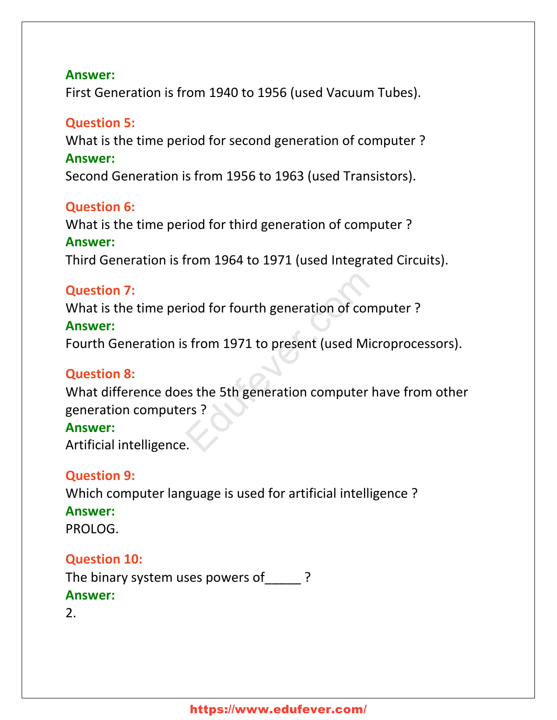#### **Аnswer:**

First Generation is from 1940 to 1956 (used Vacuum Tubes).

#### **Question 5:**

What is the time period for second generation of computer ? **Аnswer:** Second Generation is from 1956 to 1963 (used Transistors).

#### **Question 6:**

What is the time period for third generation of computer ? **Аnswer:**

Third Generation is from 1964 to 1971 (used Integrated Circuits).

#### **Question 7:**

What is the time period for fourth generation of computer ?

#### **Аnswer:**

Fourth Generation is from 1971 to present (used Microprocessors).

#### **Question 8:**

What difference does the 5th generation computer have from other generation computers ? riod for fourth generation of comparation<br>From 1971 to present (used Microsoft)<br>Pass the 5th generation computer has<br>Figures 2:

#### **Аnswer:**

Artificial intelligence.

# **Question 9:**

Which computer language is used for artificial intelligence ? **Аnswer:** PROLOG.

#### **Question 10:**

The binary system uses powers of ? **Аnswer:**

2.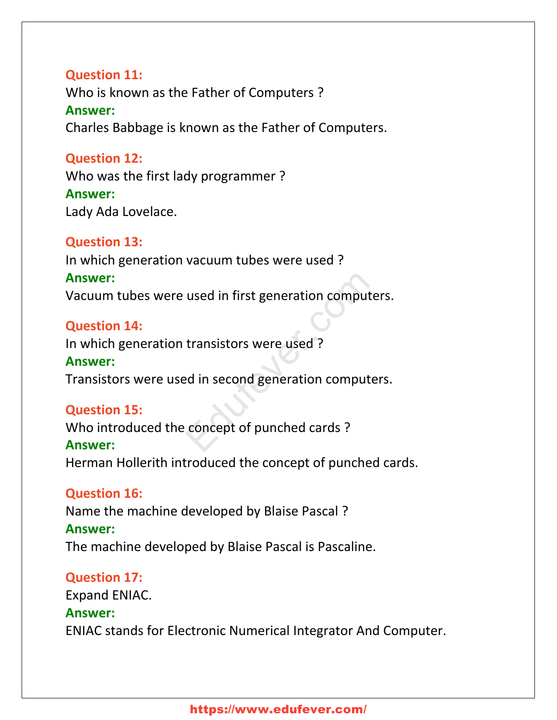#### **Question 11:**

Who is known as the Father of Computers ? **Аnswer:** Charles Babbage is known as the Father of Computers.

#### **Question 12:**

Who was the first lady programmer ? **Аnswer:** Lady Ada Lovelace.

#### **Question 13:**

In which generation vacuum tubes were used ? **Аnswer:** Vacuum tubes were used in first generation computers. used in first generation computer<br>transistors were used ?<br>ed in second generation computer<br>concept of punched cards ?

#### **Question 14:**

In which generation transistors were used ?

#### **Аnswer:**

Transistors were used in second generation computers.

#### **Question 15:**

Who introduced the concept of punched cards ?

#### **Аnswer:**

Herman Hollerith introduced the concept of punched cards.

#### **Question 16:**

Name the machine developed by Blaise Pascal ? **Аnswer:** The machine developed by Blaise Pascal is Pascaline.

#### **Question 17:**

Expand ENIAC. **Аnswer:** ENIAC stands for Electronic Numerical Integrator And Computer.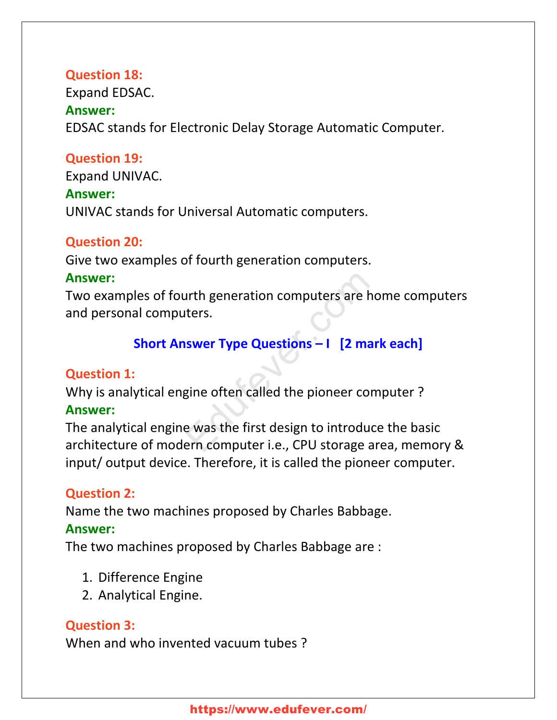#### **Question 18:**

Expand EDSAC. **Аnswer:** EDSAC stands for Electronic Delay Storage Automatic Computer.

#### **Question 19:**

Expand UNIVAC. **Аnswer:** UNIVAC stands for Universal Automatic computers.

#### **Question 20:**

Give two examples of fourth generation computers.

#### **Аnswer:**

Two examples of fourth generation computers are home computers and personal computers. urth generation computers are ho<br>
ters.<br> **SWETTYPE Questions - 1 [2 marl<br>
gine often called the pioneer com<br>
e was the first design to introduce<br>
ern computer i.e., CPU storage are** 

# **Short Answer Type Questions – I [2 mark each]**

#### **Question 1:**

Why is analytical engine often called the pioneer computer ? **Аnswer:**

The analytical engine was the first design to introduce the basic architecture of modern computer i.e., CPU storage area, memory & input/ output device. Therefore, it is called the pioneer computer.

#### **Question 2:**

Name the two machines proposed by Charles Babbage.

#### **Аnswer:**

The two machines proposed by Charles Babbage are :

- 1. Difference Engine
- 2. Analytical Engine.

# **Question 3:**

When and who invented vacuum tubes ?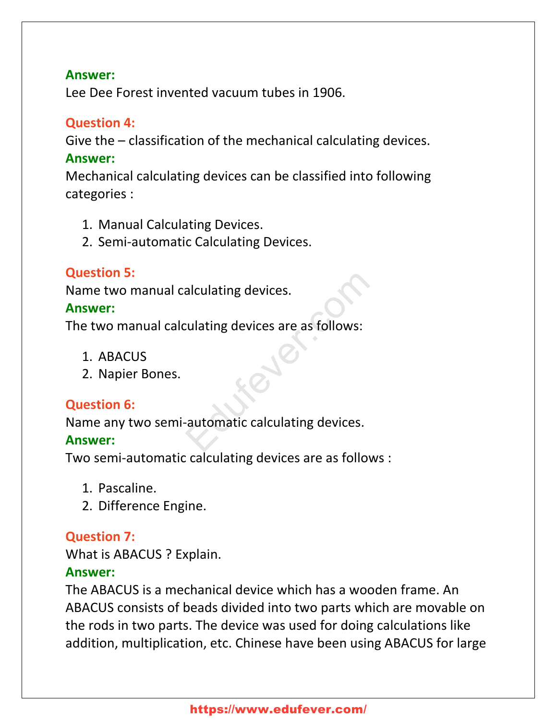#### **Аnswer:**

Lee Dee Forest invented vacuum tubes in 1906.

# **Question 4:**

Give the – classification of the mechanical calculating devices. **Аnswer:**

Mechanical calculating devices can be classified into following categories :

- 1. Manual Calculating Devices.
- 2. Semi-automatic Calculating Devices.

# **Question 5:**

Name two manual calculating devices.

#### **Аnswer:**

The two manual calculating devices are as follows:

- 1. ABACUS
- 2. Napier Bones.

# **Question 6:**

Name any two semi-automatic calculating devices. alculating devices.<br>
Eulating devices are as follows:<br>
Fractionation of the contract calculating devices.

# **Аnswer:**

Two semi-automatic calculating devices are as follows :

- 1. Pascaline.
- 2. Difference Engine.

# **Question 7:**

What is ABACUS ? Explain.

# **Аnswer:**

The ABACUS is a mechanical device which has a wooden frame. An ABACUS consists of beads divided into two parts which are movable on the rods in two parts. The device was used for doing calculations like addition, multiplication, etc. Chinese have been using ABACUS for large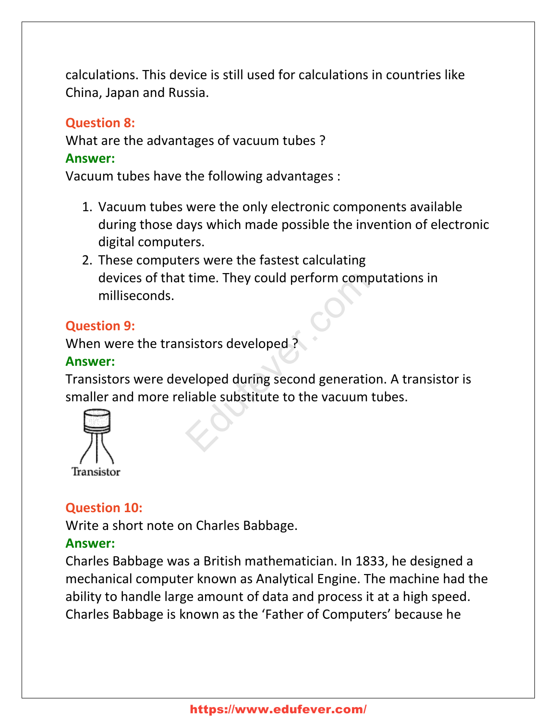calculations. This device is still used for calculations in countries like China, Japan and Russia.

#### **Question 8:**

What are the advantages of vacuum tubes ? **Аnswer:**

Vacuum tubes have the following advantages :

- 1. Vacuum tubes were the only electronic components available during those days which made possible the invention of electronic digital computers.
- 2. These computers were the fastest calculating devices of that time. They could perform computations in milliseconds.

# **Question 9:**

When were the transistors developed ?

#### **Аnswer:**

Transistors were developed during second generation. A transistor is smaller and more reliable substitute to the vacuum tubes. time. They could perform computs<br>sistors developed ?<br>veloped during second generation<br>liable substitute to the vacuum tu



# **Question 10:**

Write a short note on Charles Babbage.

# **Аnswer:**

Charles Babbage was a British mathematician. In 1833, he designed a mechanical computer known as Analytical Engine. The machine had the ability to handle large amount of data and process it at a high speed. Charles Babbage is known as the 'Father of Computers' because he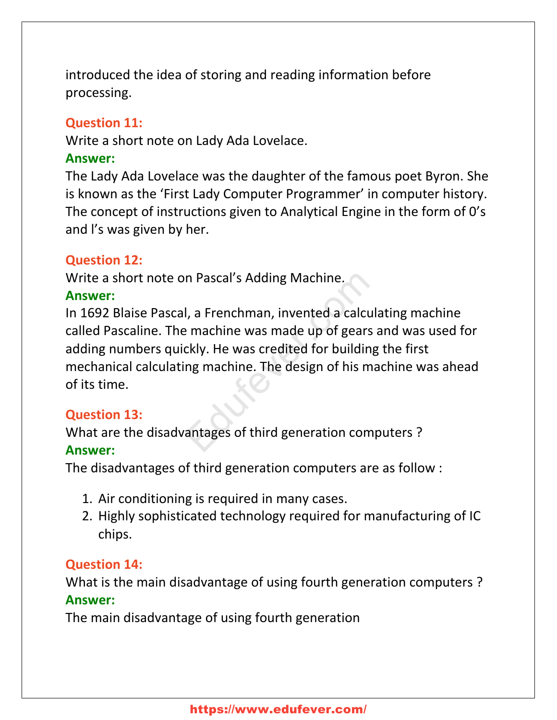introduced the idea of storing and reading information before processing.

### **Question 11:**

Write a short note on Lady Ada Lovelace.

#### **Аnswer:**

The Lady Ada Lovelace was the daughter of the famous poet Byron. She is known as the 'First Lady Computer Programmer' in computer history. The concept of instructions given to Analytical Engine in the form of 0's and l's was given by her.

#### **Question 12:**

Write a short note on Pascal's Adding Machine.

#### **Аnswer:**

In 1692 Blaise Pascal, a Frenchman, invented a calculating machine called Pascaline. The machine was made up of gears and was used for adding numbers quickly. He was credited for building the first mechanical calculating machine. The design of his machine was ahead of its time. n Pascal's Adding Machine.<br>
I, a Frenchman, invented a calcula<br>
Pernachine was made up of gears a<br>
ckly. He was credited for building<br>
ng machine. The design of his makes

#### **Question 13:**

What are the disadvantages of third generation computers ?

#### **Аnswer:**

The disadvantages of third generation computers are as follow :

- 1. Air conditioning is required in many cases.
- 2. Highly sophisticated technology required for manufacturing of IC chips.

#### **Question 14:**

What is the main disadvantage of using fourth generation computers ? **Аnswer:**

The main disadvantage of using fourth generation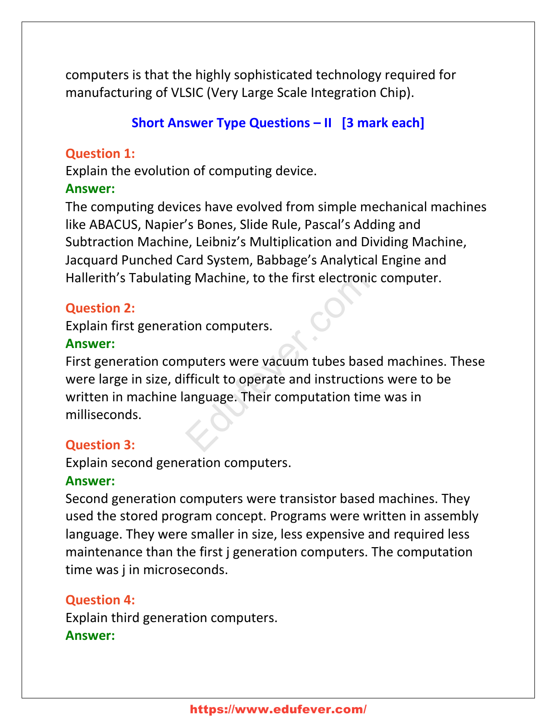computers is that the highly sophisticated technology required for manufacturing of VLSIC (Very Large Scale Integration Chip).

# **Short Answer Type Questions – II [3 mark each]**

# **Question 1:**

Explain the evolution of computing device.

# **Аnswer:**

The computing devices have evolved from simple mechanical machines like ABACUS, Napier's Bones, Slide Rule, Pascal's Adding and Subtraction Machine, Leibniz's Multiplication and Dividing Machine, Jacquard Punched Card System, Babbage's Analytical Engine and Hallerith's Tabulating Machine, to the first electronic computer.

# **Question 2:**

Explain first generation computers.

# **Аnswer:**

First generation computers were vacuum tubes based machines. These were large in size, difficult to operate and instructions were to be written in machine language. Their computation time was in milliseconds. g Machine, to the first electronic<br>ion computers.<br>puters were vacuum tubes based<br>fficult to operate and instructions<br>anguage. Their computation time

# **Question 3:**

Explain second generation computers.

# **Аnswer:**

Second generation computers were transistor based machines. They used the stored program concept. Programs were written in assembly language. They were smaller in size, less expensive and required less maintenance than the first j generation computers. The computation time was j in microseconds.

# **Question 4:**

Explain third generation computers. **Аnswer:**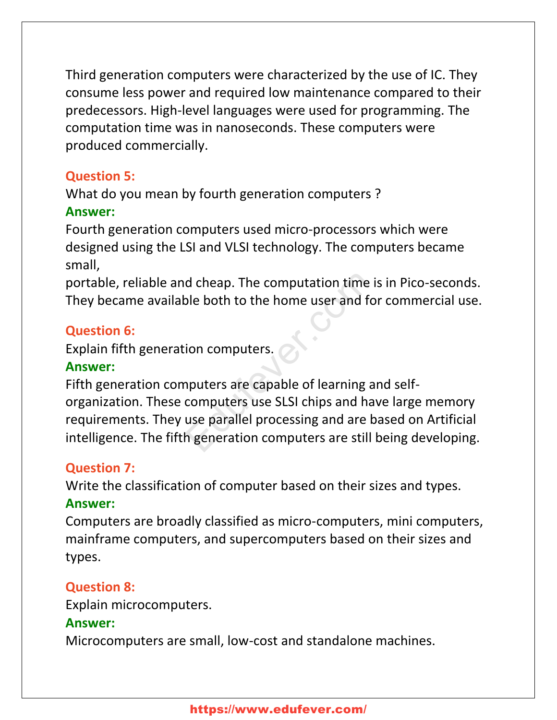Third generation computers were characterized by the use of IC. They consume less power and required low maintenance compared to their predecessors. High-level languages were used for programming. The computation time was in nanoseconds. These computers were produced commercially.

### **Question 5:**

What do you mean by fourth generation computers ?

# **Аnswer:**

Fourth generation computers used micro-processors which were designed using the LSI and VLSI technology. The computers became small,

portable, reliable and cheap. The computation time is in Pico-seconds. They became available both to the home user and for commercial use.

# **Question 6:**

Explain fifth generation computers.

# **Аnswer:**

Fifth generation computers are capable of learning and selforganization. These computers use SLSI chips and have large memory requirements. They use parallel processing and are based on Artificial intelligence. The fifth generation computers are still being developing. d cheap. The computation time is<br>ble both to the home user and for<br>ion computers.<br>puters are capable of learning an<br>computers use SLSI chips and hav<br>use parallel processing and are ba<br>h generation computers are still b

# **Question 7:**

Write the classification of computer based on their sizes and types. **Аnswer:**

Computers are broadly classified as micro-computers, mini computers, mainframe computers, and supercomputers based on their sizes and types.

# **Question 8:**

Explain microcomputers.

# **Аnswer:**

Microcomputers are small, low-cost and standalone machines.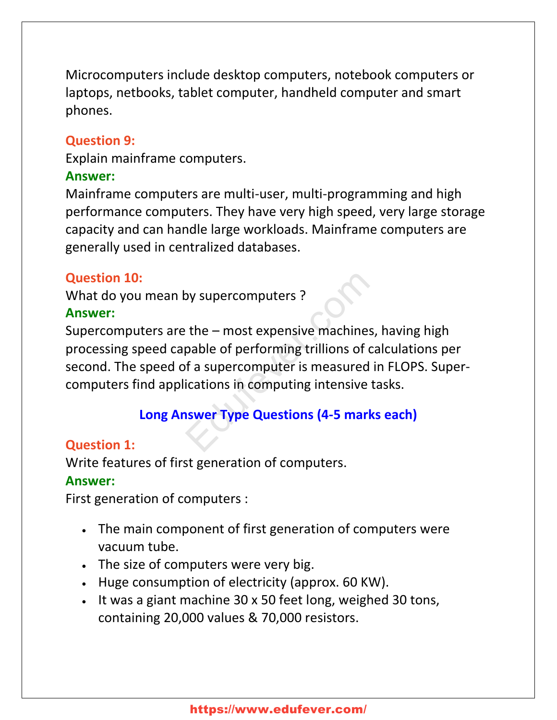Microcomputers include desktop computers, notebook computers or laptops, netbooks, tablet computer, handheld computer and smart phones.

#### **Question 9:**

Explain mainframe computers.

#### **Аnswer:**

Mainframe computers are multi-user, multi-programming and high performance computers. They have very high speed, very large storage capacity and can handle large workloads. Mainframe computers are generally used in centralized databases.

# **Question 10:**

What do you mean by supercomputers ?

#### **Аnswer:**

Supercomputers are the – most expensive machines, having high processing speed capable of performing trillions of calculations per second. The speed of a supercomputer is measured in FLOPS. Supercomputers find applications in computing intensive tasks. by supercomputers?<br>
Education: the - most expensive machines,<br>
pable of performing trillions of calculations in computing intensive ta

# **Long Answer Type Questions (4-5 marks each)**

# **Question 1:**

Write features of first generation of computers.

# **Аnswer:**

First generation of computers :

- The main component of first generation of computers were vacuum tube.
- The size of computers were very big.
- Huge consumption of electricity (approx. 60 KW).
- It was a giant machine 30 x 50 feet long, weighed 30 tons, containing 20,000 values & 70,000 resistors.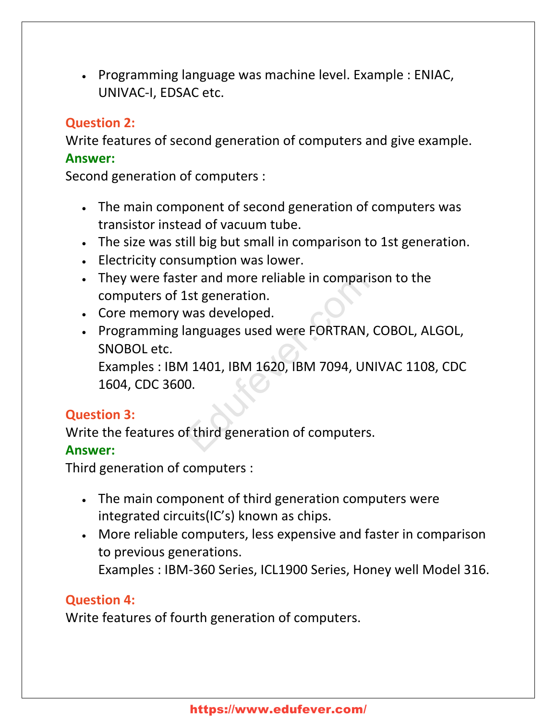Programming language was machine level. Example : ENIAC, UNIVAC-I, EDSAC etc.

#### **Question 2:**

Write features of second generation of computers and give example. **Аnswer:**

Second generation of computers :

- The main component of second generation of computers was transistor instead of vacuum tube.
- The size was still big but small in comparison to 1st generation.
- Electricity consumption was lower.
- They were faster and more reliable in comparison to the computers of 1st generation.
- Core memory was developed.
- Programming languages used were FORTRAN, COBOL, ALGOL, SNOBOL etc.

Examples : IBM 1401, IBM 1620, IBM 7094, UNIVAC 1108, CDC 1604, CDC 3600. er and more reliable in comparisc<br>
Lst generation.<br>
was developed.<br>
anguages used were FORTRAN, CONTRAN, CONTRAN, CONTRAN, CONTRAN, CONTRAN, CONTRAN, CONTRAN, CONTRAN, CONTRAN, CONTRAN, CONTRAN, CONTRAN, CONTRAN, CONTRAN,

#### **Question 3:**

Write the features of third generation of computers.

#### **Аnswer:**

Third generation of computers :

- The main component of third generation computers were integrated circuits(IC's) known as chips.
- More reliable computers, less expensive and faster in comparison to previous generations. Examples : IBM-360 Series, ICL1900 Series, Honey well Model 316.

#### **Question 4:**

Write features of fourth generation of computers.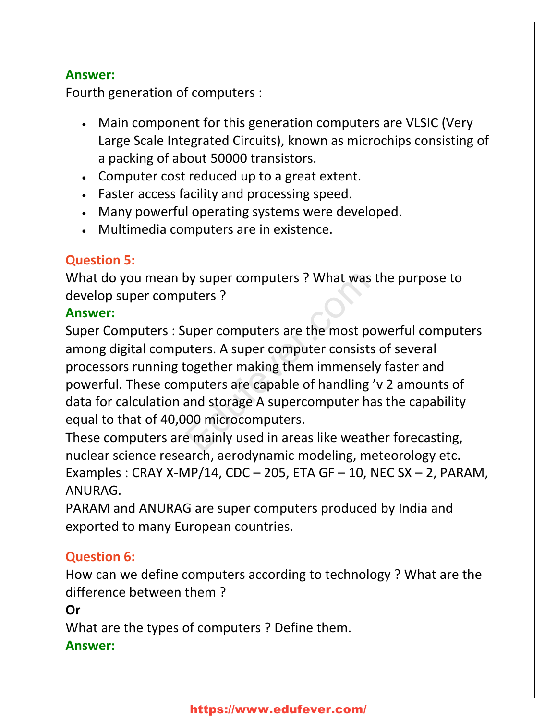#### **Аnswer:**

Fourth generation of computers :

- Main component for this generation computers are VLSIC (Very Large Scale Integrated Circuits), known as microchips consisting of a packing of about 50000 transistors.
- Computer cost reduced up to a great extent.
- Faster access facility and processing speed.
- Many powerful operating systems were developed.
- Multimedia computers are in existence.

# **Question 5:**

What do you mean by super computers ? What was the purpose to develop super computers ?

# **Аnswer:**

Super Computers : Super computers are the most powerful computers among digital computers. A super computer consists of several processors running together making them immensely faster and powerful. These computers are capable of handling 'v 2 amounts of data for calculation and storage A supercomputer has the capability equal to that of 40,000 microcomputers. by super computers ? What was the<br>
uters ?<br>
uper computers are the most pov<br>
uters. A super computer consists a<br>
cogether making them immensely<br>
nputers are capable of handling 'v<br>
and storage A supercomputer has<br>
100 micr

These computers are mainly used in areas like weather forecasting, nuclear science research, aerodynamic modeling, meteorology etc. Examples : CRAY X-MP/14, CDC  $-$  205, ETA GF  $-$  10, NEC SX  $-$  2, PARAM, ANURAG.

PARAM and ANURAG are super computers produced by India and exported to many European countries.

# **Question 6:**

How can we define computers according to technology ? What are the difference between them ?

#### **Or**

What are the types of computers ? Define them.

# **Аnswer:**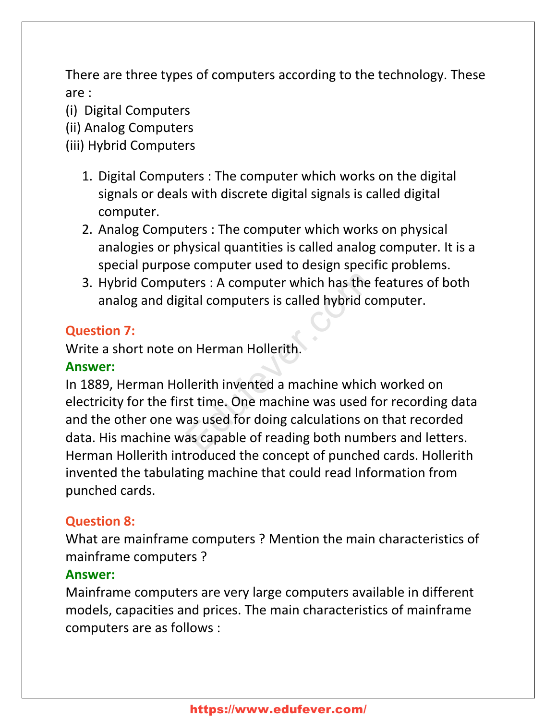There are three types of computers according to the technology. These are :

- (i) Digital Computers
- (ii) Analog Computers
- (iii) Hybrid Computers
	- 1. Digital Computers : The computer which works on the digital signals or deals with discrete digital signals is called digital computer.
	- 2. Analog Computers : The computer which works on physical analogies or physical quantities is called analog computer. It is a special purpose computer used to design specific problems.
	- 3. Hybrid Computers : A computer which has the features of both analog and digital computers is called hybrid computer.

# **Question 7:**

Write a short note on Herman Hollerith.

# **Аnswer:**

In 1889, Herman Hollerith invented a machine which worked on electricity for the first time. One machine was used for recording data and the other one was used for doing calculations on that recorded data. His machine was capable of reading both numbers and letters. Herman Hollerith introduced the concept of punched cards. Hollerith invented the tabulating machine that could read Information from punched cards. Example 15 and the fermulant is called hybrid contracted in Herman Hollerith.<br>
Therman Hollerith<br>
Ilerith invented a machine which<br>
St time. One machine was used for<br>
The machine was used for doing calculations on<br>
The sam

# **Question 8:**

What are mainframe computers ? Mention the main characteristics of mainframe computers ?

# **Аnswer:**

Mainframe computers are very large computers available in different models, capacities and prices. The main characteristics of mainframe computers are as follows :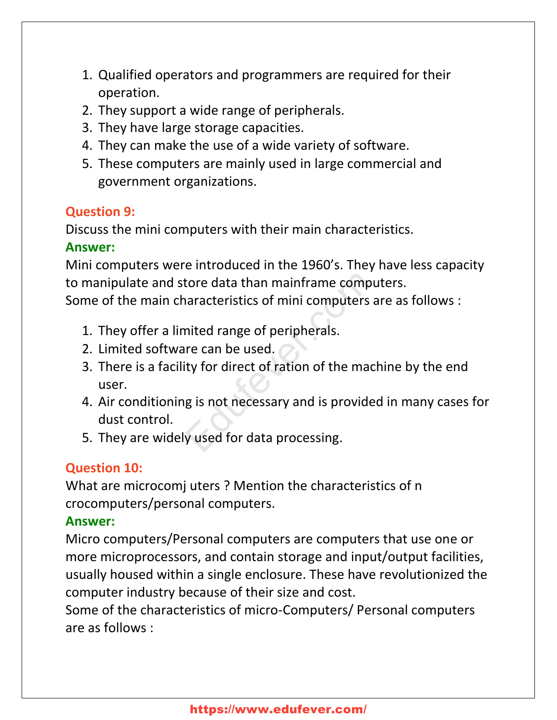- 1. Qualified operators and programmers are required for their operation.
- 2. They support a wide range of peripherals.
- 3. They have large storage capacities.
- 4. They can make the use of a wide variety of software.
- 5. These computers are mainly used in large commercial and government organizations.

# **Question 9:**

Discuss the mini computers with their main characteristics.

# **Аnswer:**

Mini computers were introduced in the 1960's. They have less capacity to manipulate and store data than mainframe computers. Some of the main characteristics of mini computers are as follows :

- 1. They offer a limited range of peripherals.
- 2. Limited software can be used.
- 3. There is a facility for direct of ration of the machine by the end user. tore data than mainframe computers<br>
inted range of peripherals.<br>
The can be used.<br>
The can be used.<br>
The mach<br>
g is not necessary and is provided<br>
y used for data processing.
- 4. Air conditioning is not necessary and is provided in many cases for dust control.
- 5. They are widely used for data processing.

# **Question 10:**

What are microcomj uters ? Mention the characteristics of n crocomputers/personal computers.

# **Аnswer:**

Micro computers/Personal computers are computers that use one or more microprocessors, and contain storage and input/output facilities, usually housed within a single enclosure. These have revolutionized the computer industry because of their size and cost.

Some of the characteristics of micro-Computers/ Personal computers are as follows :